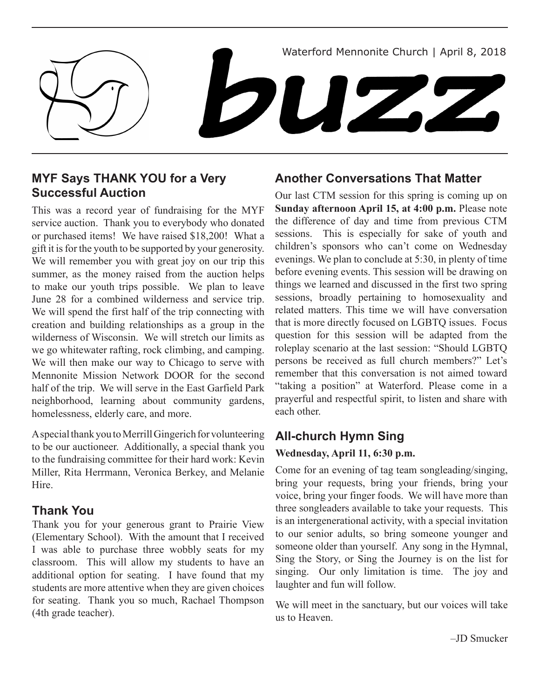

## **MYF Says THANK YOU for a Very Successful Auction**

This was a record year of fundraising for the MYF service auction. Thank you to everybody who donated or purchased items! We have raised \$18,200! What a gift it is for the youth to be supported by your generosity. We will remember you with great joy on our trip this summer, as the money raised from the auction helps to make our youth trips possible. We plan to leave June 28 for a combined wilderness and service trip. We will spend the first half of the trip connecting with creation and building relationships as a group in the wilderness of Wisconsin. We will stretch our limits as we go whitewater rafting, rock climbing, and camping. We will then make our way to Chicago to serve with Mennonite Mission Network DOOR for the second half of the trip. We will serve in the East Garfield Park neighborhood, learning about community gardens, homelessness, elderly care, and more.

A special thank you to Merrill Gingerich for volunteering to be our auctioneer. Additionally, a special thank you to the fundraising committee for their hard work: Kevin Miller, Rita Herrmann, Veronica Berkey, and Melanie **Hire** 

### **Thank You**

Thank you for your generous grant to Prairie View (Elementary School). With the amount that I received I was able to purchase three wobbly seats for my classroom. This will allow my students to have an additional option for seating. I have found that my students are more attentive when they are given choices for seating. Thank you so much, Rachael Thompson (4th grade teacher).

## **Another Conversations That Matter**

Our last CTM session for this spring is coming up on **Sunday afternoon April 15, at 4:00 p.m.** Please note the difference of day and time from previous CTM sessions. This is especially for sake of youth and children's sponsors who can't come on Wednesday evenings. We plan to conclude at 5:30, in plenty of time before evening events. This session will be drawing on things we learned and discussed in the first two spring sessions, broadly pertaining to homosexuality and related matters. This time we will have conversation that is more directly focused on LGBTQ issues. Focus question for this session will be adapted from the roleplay scenario at the last session: "Should LGBTQ persons be received as full church members?" Let's remember that this conversation is not aimed toward "taking a position" at Waterford. Please come in a prayerful and respectful spirit, to listen and share with each other.

# **All-church Hymn Sing**

### **Wednesday, April 11, 6:30 p.m.**

Come for an evening of tag team songleading/singing, bring your requests, bring your friends, bring your voice, bring your finger foods. We will have more than three songleaders available to take your requests. This is an intergenerational activity, with a special invitation to our senior adults, so bring someone younger and someone older than yourself. Any song in the Hymnal, Sing the Story, or Sing the Journey is on the list for singing. Our only limitation is time. The joy and laughter and fun will follow.

We will meet in the sanctuary, but our voices will take us to Heaven.